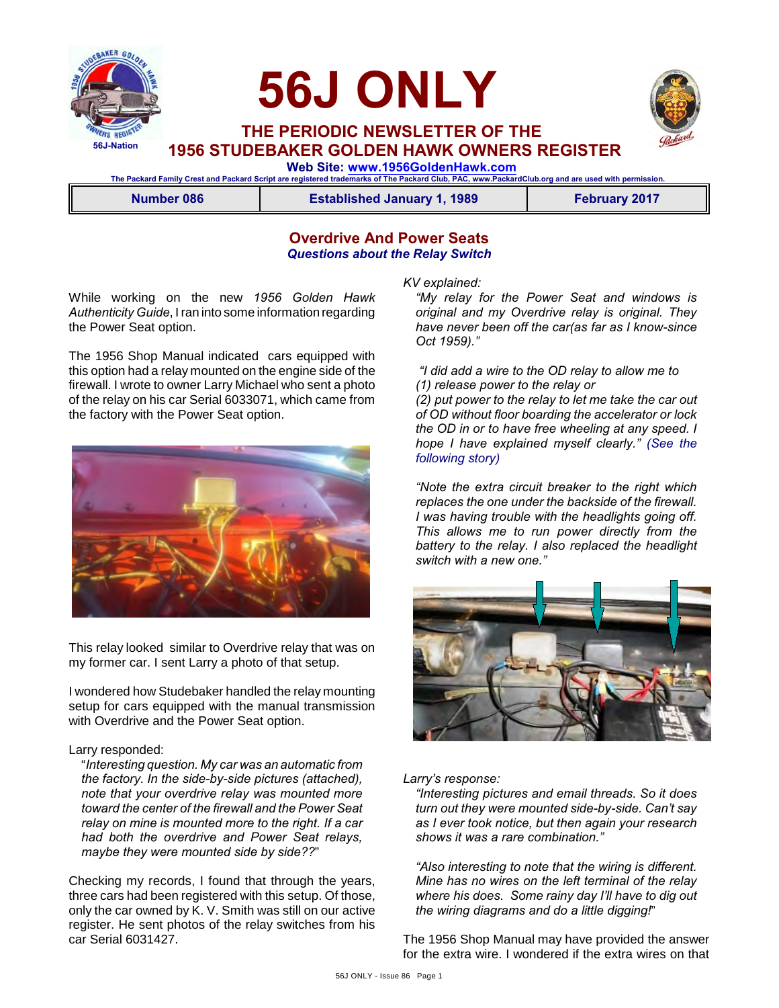

# **56J ONLY**



 **THE PERIODIC NEWSLETTER OF THE 1956 STUDEBAKER GOLDEN HAWK OWNERS REGISTER**

 **Web Site: [www.1956GoldenHawk.com](http://www.1956GoldenHawk.com) The Packard Family Crest and Packard Script are registered trademarks of The Packard Club, PAC, www.PackardClub.org and are used with permission.** 

**Number 086 Established January 1, 1989 February 2017**

## **Overdrive And Power Seats** *Questions about the Relay Switch*

While working on the new *1956 Golden Hawk Authenticity Guide*, I ran into some information regarding the Power Seat option.

The 1956 Shop Manual indicated cars equipped with this option had a relay mounted on the engine side of the firewall. I wrote to owner Larry Michael who sent a photo of the relay on his car Serial 6033071, which came from the factory with the Power Seat option.



This relay looked similar to Overdrive relay that was on my former car. I sent Larry a photo of that setup.

I wondered how Studebaker handled the relay mounting setup for cars equipped with the manual transmission with Overdrive and the Power Seat option.

### Larry responded:

"*Interesting question. My car was an automatic from the factory. In the side-by-side pictures (attached), note that your overdrive relay was mounted more toward the center of the firewall and the Power Seat relay on mine is mounted more to the right. If a car had both the overdrive and Power Seat relays, maybe they were mounted side by side??*"

Checking my records, I found that through the years, three cars had been registered with this setup. Of those, only the car owned by K. V. Smith was still on our active register. He sent photos of the relay switches from his car Serial 6031427.

#### *KV explained:*

*"My relay for the Power Seat and windows is original and my Overdrive relay is original. They have never been off the car(as far as I know-since Oct 1959)."*

 *"I did add a wire to the OD relay to allow me to (1) release power to the relay or* 

*(2) put power to the relay to let me take the car out of OD without floor boarding the accelerator or lock the OD in or to have free wheeling at any speed. I hope I have explained myself clearly." (See the following story)*

*"Note the extra circuit breaker to the right which replaces the one under the backside of the firewall. I was having trouble with the headlights going off. This allows me to run power directly from the battery to the relay. I also replaced the headlight switch with a new one."*



#### *Larry's response:*

*"Interesting pictures and email threads. So it does turn out they were mounted side-by-side. Can't say as I ever took notice, but then again your research shows it was a rare combination."*

*"Also interesting to note that the wiring is different. Mine has no wires on the left terminal of the relay where his does. Some rainy day I'll have to dig out the wiring diagrams and do a little digging!*"

The 1956 Shop Manual may have provided the answer for the extra wire. I wondered if the extra wires on that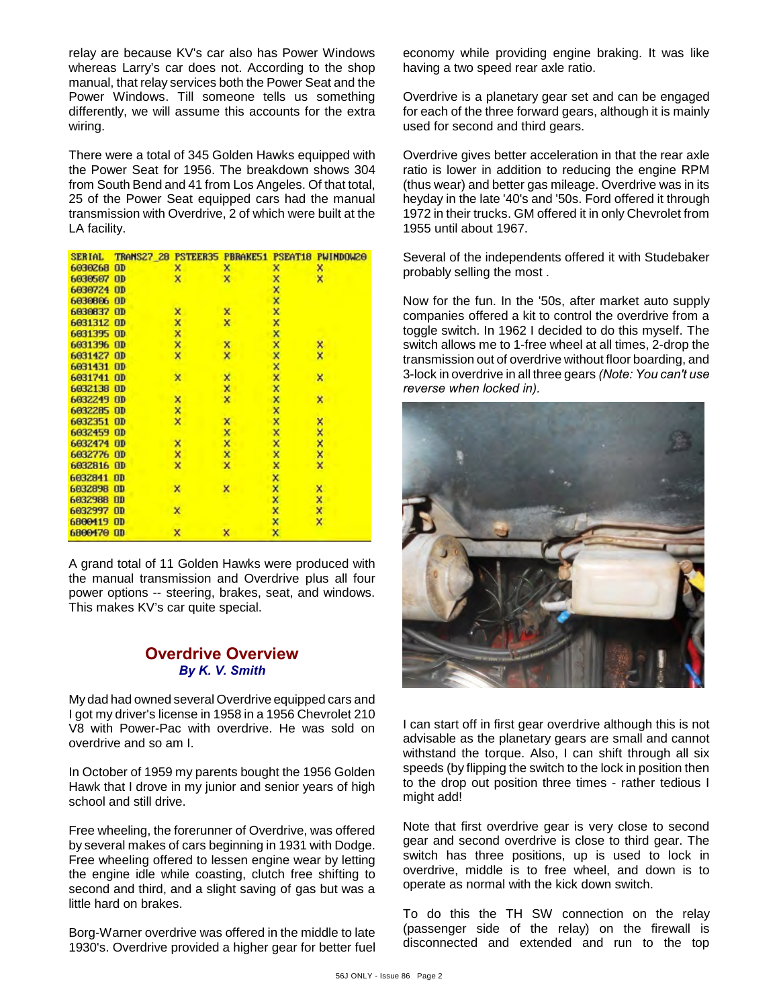relay are because KV's car also has Power Windows whereas Larry's car does not. According to the shop manual, that relay services both the Power Seat and the Power Windows. Till someone tells us something differently, we will assume this accounts for the extra wiring.

There were a total of 345 Golden Hawks equipped with the Power Seat for 1956. The breakdown shows 304 from South Bend and 41 from Los Angeles. Of that total, 25 of the Power Seat equipped cars had the manual transmission with Overdrive, 2 of which were built at the LA facility.

| <b>SERIAL</b> | TRANS27 28 PSTEER35 PBRAKE51 |   |   | PSEAT <sub>18</sub> | <b>PWINDOW20</b>        |
|---------------|------------------------------|---|---|---------------------|-------------------------|
| 6030268       | <b>OD</b>                    | × | x | ×                   | ×                       |
| 6030507       | 0 <sub>D</sub>               | × | × | ×                   | X                       |
| 6030724 OD    |                              |   |   | ×                   |                         |
| 6030806 OD    |                              |   |   | ×                   |                         |
| 6030837 OD    |                              | × | × | ×                   |                         |
| 6031312 OD    |                              | x | × | ×                   |                         |
| 6031395 OD    |                              | × |   | ××                  |                         |
| 6031396       | <b>OD</b>                    | × | × |                     | ×                       |
| 6031427 OD    |                              | × | × | <b>xxx</b>          | $\overline{\mathsf{x}}$ |
| 6031431 OD    |                              |   |   |                     |                         |
| 6031741 OD    |                              | × | × |                     | x                       |
| 6032138 OD    |                              |   | x | ×                   |                         |
| 6032249       | <b>OD</b>                    | x | x | ×                   | ×                       |
| 6032285 OD    |                              | × |   | <b>xxxx</b>         |                         |
| 6032351 OD    |                              | × | × |                     |                         |
| 6032459 OD    |                              |   | × |                     | xxx                     |
| 6032474 OD    |                              | × | × |                     |                         |
| 6032776 OD    |                              | × | × | ×                   | ×                       |
| 6032816 OD    |                              | × | × | ×                   | x                       |
| 6032841 OD    |                              |   |   | ×                   |                         |
| 6032898       | $\Box$                       | × | × | ×                   | ×                       |
| 6032988       | <b>OD</b>                    |   |   | ×                   | ×                       |
| 6032997 00    |                              | × |   | ×                   | ××                      |
| 6800419 OD    |                              |   |   | ×                   |                         |
| 6800470 OD    |                              | × | × | x                   |                         |

A grand total of 11 Golden Hawks were produced with the manual transmission and Overdrive plus all four power options -- steering, brakes, seat, and windows. This makes KV's car quite special.

## **Overdrive Overview** *By K. V. Smith*

My dad had owned several Overdrive equipped cars and I got my driver's license in 1958 in a 1956 Chevrolet 210 V8 with Power-Pac with overdrive. He was sold on overdrive and so am I.

In October of 1959 my parents bought the 1956 Golden Hawk that I drove in my junior and senior years of high school and still drive.

Free wheeling, the forerunner of Overdrive, was offered by several makes of cars beginning in 1931 with Dodge. Free wheeling offered to lessen engine wear by letting the engine idle while coasting, clutch free shifting to second and third, and a slight saving of gas but was a little hard on brakes.

Borg-Warner overdrive was offered in the middle to late 1930's. Overdrive provided a higher gear for better fuel economy while providing engine braking. It was like having a two speed rear axle ratio.

Overdrive is a planetary gear set and can be engaged for each of the three forward gears, although it is mainly used for second and third gears.

Overdrive gives better acceleration in that the rear axle ratio is lower in addition to reducing the engine RPM (thus wear) and better gas mileage. Overdrive was in its heyday in the late '40's and '50s. Ford offered it through 1972 in their trucks. GM offered it in only Chevrolet from 1955 until about 1967.

Several of the independents offered it with Studebaker probably selling the most .

Now for the fun. In the '50s, after market auto supply companies offered a kit to control the overdrive from a toggle switch. In 1962 I decided to do this myself. The switch allows me to 1-free wheel at all times, 2-drop the transmission out of overdrive without floor boarding, and 3-lock in overdrive in all three gears *(Note: You can't use reverse when locked in).*



I can start off in first gear overdrive although this is not advisable as the planetary gears are small and cannot withstand the torque. Also, I can shift through all six speeds (by flipping the switch to the lock in position then to the drop out position three times - rather tedious I might add!

Note that first overdrive gear is very close to second gear and second overdrive is close to third gear. The switch has three positions, up is used to lock in overdrive, middle is to free wheel, and down is to operate as normal with the kick down switch.

To do this the TH SW connection on the relay (passenger side of the relay) on the firewall is disconnected and extended and run to the top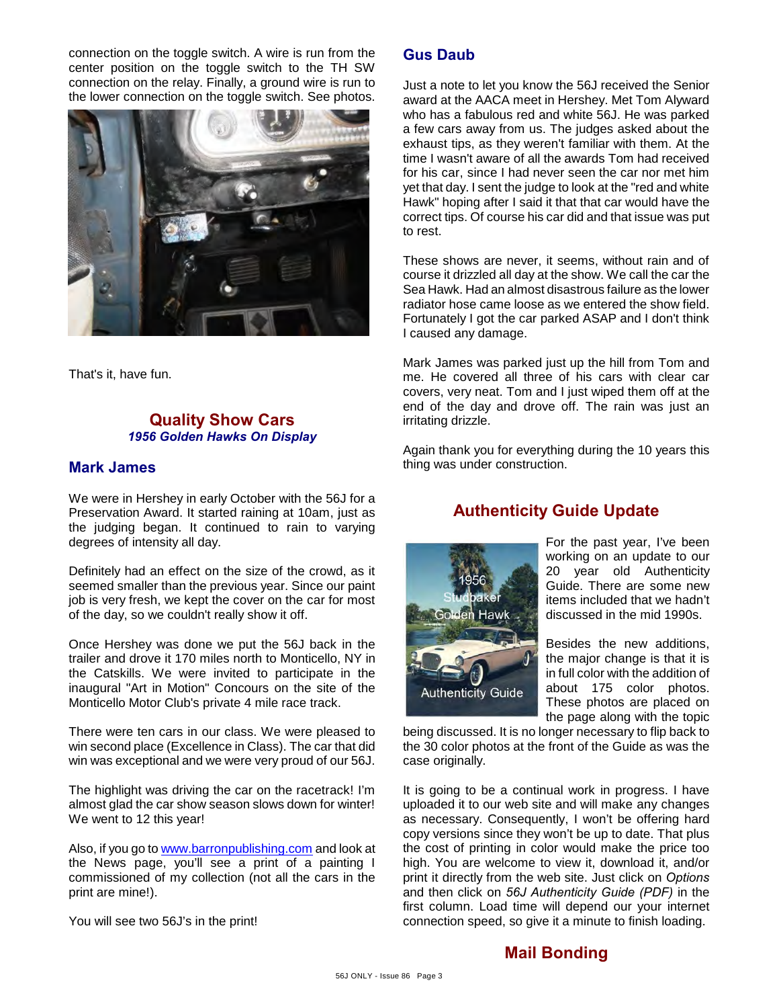connection on the toggle switch. A wire is run from the center position on the toggle switch to the TH SW connection on the relay. Finally, a ground wire is run to the lower connection on the toggle switch. See photos.



That's it, have fun.

## **Quality Show Cars** *1956 Golden Hawks On Display*

## **Mark James**

We were in Hershey in early October with the 56J for a Preservation Award. It started raining at 10am, just as the judging began. It continued to rain to varying degrees of intensity all day.

Definitely had an effect on the size of the crowd, as it seemed smaller than the previous year. Since our paint job is very fresh, we kept the cover on the car for most of the day, so we couldn't really show it off.

Once Hershey was done we put the 56J back in the trailer and drove it 170 miles north to Monticello, NY in the Catskills. We were invited to participate in the inaugural "Art in Motion" Concours on the site of the Monticello Motor Club's private 4 mile race track.

There were ten cars in our class. We were pleased to win second place (Excellence in Class). The car that did win was exceptional and we were very proud of our 56J.

The highlight was driving the car on the racetrack! I'm almost glad the car show season slows down for winter! We went to 12 this year!

Also, if you go to [www.barronpublishing.com](http://www.barronpublishing.com) and look at the News page, you'll see a print of a painting I commissioned of my collection (not all the cars in the print are mine!).

You will see two 56J's in the print!

# **Gus Daub**

Just a note to let you know the 56J received the Senior award at the AACA meet in Hershey. Met Tom Alyward who has a fabulous red and white 56J. He was parked a few cars away from us. The judges asked about the exhaust tips, as they weren't familiar with them. At the time I wasn't aware of all the awards Tom had received for his car, since I had never seen the car nor met him yet that day. I sent the judge to look at the "red and white Hawk" hoping after I said it that that car would have the correct tips. Of course his car did and that issue was put to rest.

These shows are never, it seems, without rain and of course it drizzled all day at the show. We call the car the Sea Hawk. Had an almost disastrous failure as the lower radiator hose came loose as we entered the show field. Fortunately I got the car parked ASAP and I don't think I caused any damage.

Mark James was parked just up the hill from Tom and me. He covered all three of his cars with clear car covers, very neat. Tom and I just wiped them off at the end of the day and drove off. The rain was just an irritating drizzle.

Again thank you for everything during the 10 years this thing was under construction.



# **Authenticity Guide Update**

For the past year, I've been working on an update to our 20 year old Authenticity Guide. There are some new items included that we hadn't discussed in the mid 1990s.

Besides the new additions, the major change is that it is in full color with the addition of about 175 color photos. These photos are placed on the page along with the topic

being discussed. It is no longer necessary to flip back to the 30 color photos at the front of the Guide as was the case originally.

It is going to be a continual work in progress. I have uploaded it to our web site and will make any changes as necessary. Consequently, I won't be offering hard copy versions since they won't be up to date. That plus the cost of printing in color would make the price too high. You are welcome to view it, download it, and/or print it directly from the web site. Just click on *Options* and then click on *56J Authenticity Guide (PDF)* in the first column. Load time will depend our your internet connection speed, so give it a minute to finish loading.

# **Mail Bonding**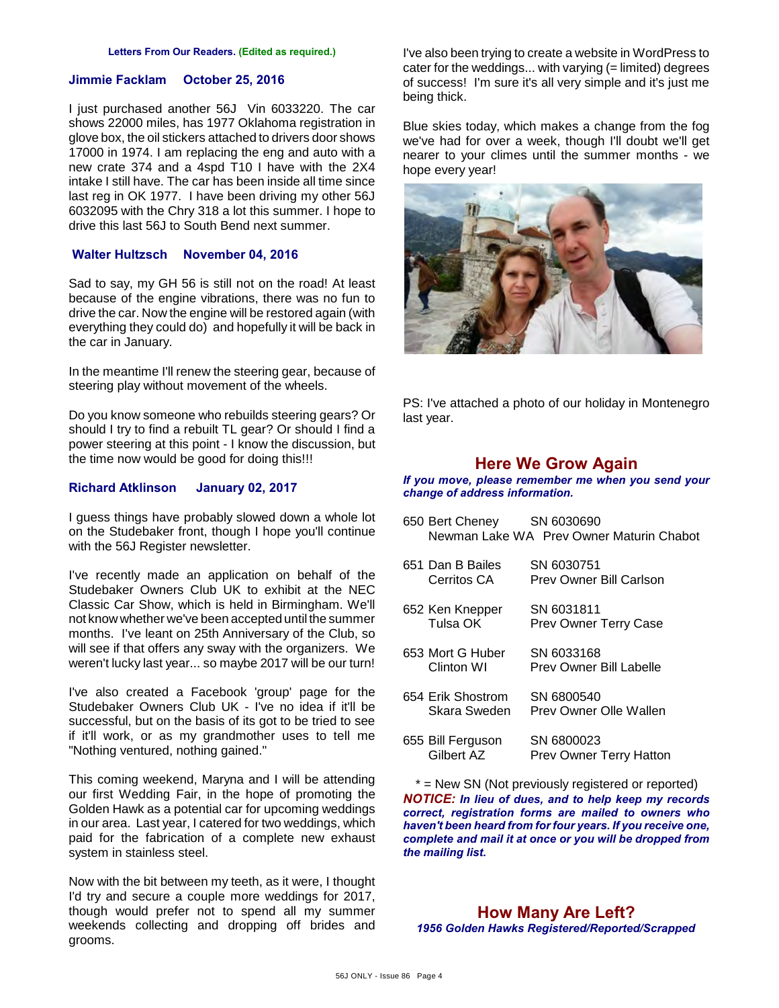#### **Jimmie Facklam October 25, 2016**

I just purchased another 56J Vin 6033220. The car shows 22000 miles, has 1977 Oklahoma registration in glove box, the oil stickers attached to drivers door shows 17000 in 1974. I am replacing the eng and auto with a new crate 374 and a 4spd T10 I have with the 2X4 intake I still have. The car has been inside all time since last reg in OK 1977. I have been driving my other 56J 6032095 with the Chry 318 a lot this summer. I hope to drive this last 56J to South Bend next summer.

#### **Walter Hultzsch November 04, 2016**

Sad to say, my GH 56 is still not on the road! At least because of the engine vibrations, there was no fun to drive the car. Now the engine will be restored again (with everything they could do) and hopefully it will be back in the car in January.

In the meantime I'll renew the steering gear, because of steering play without movement of the wheels.

Do you know someone who rebuilds steering gears? Or should I try to find a rebuilt TL gear? Or should I find a power steering at this point - I know the discussion, but the time now would be good for doing this!!!

#### **Richard Atklinson January 02, 2017**

I guess things have probably slowed down a whole lot on the Studebaker front, though I hope you'll continue with the 56J Register newsletter.

I've recently made an application on behalf of the Studebaker Owners Club UK to exhibit at the NEC Classic Car Show, which is held in Birmingham. We'll not know whether we've been accepted until the summer months. I've leant on 25th Anniversary of the Club, so will see if that offers any sway with the organizers. We weren't lucky last year... so maybe 2017 will be our turn!

I've also created a Facebook 'group' page for the Studebaker Owners Club UK - I've no idea if it'll be successful, but on the basis of its got to be tried to see if it'll work, or as my grandmother uses to tell me "Nothing ventured, nothing gained."

This coming weekend, Maryna and I will be attending our first Wedding Fair, in the hope of promoting the Golden Hawk as a potential car for upcoming weddings in our area. Last year, I catered for two weddings, which paid for the fabrication of a complete new exhaust system in stainless steel.

Now with the bit between my teeth, as it were, I thought I'd try and secure a couple more weddings for 2017, though would prefer not to spend all my summer weekends collecting and dropping off brides and grooms.

I've also been trying to create a website in WordPress to cater for the weddings... with varying (= limited) degrees of success! I'm sure it's all very simple and it's just me being thick.

Blue skies today, which makes a change from the fog we've had for over a week, though I'll doubt we'll get nearer to your climes until the summer months - we hope every year!



PS: I've attached a photo of our holiday in Montenegro last year.

#### **Here We Grow Again**

*If you move, please remember me when you send your change of address information.*

- 650 Bert Cheney SN 6030690 Newman Lake WA Prev Owner Maturin Chabot
- 651 Dan B Bailes SN 6030751<br>Cerritos CA Prev Owner Prev Owner Bill Carlson
- 652 Ken Knepper SN 6031811 Prev Owner Terry Case
- 653 Mort G Huber SN 6033168<br>Clinton WI Prev Owner Prev Owner Bill Labelle
- 654 Erik Shostrom SN 6800540 Skara Sweden Prev Owner Olle Wallen
- 655 Bill Ferguson SN 6800023 Prev Owner Terry Hatton

\* = New SN (Not previously registered or reported) *NOTICE: In lieu of dues, and to help keep my records correct, registration forms are mailed to owners who haven't been heard from for four years. If you receive one, complete and mail it at once or you will be dropped from the mailing list.*

# **How Many Are Left?**

*1956 Golden Hawks Registered/Reported/Scrapped*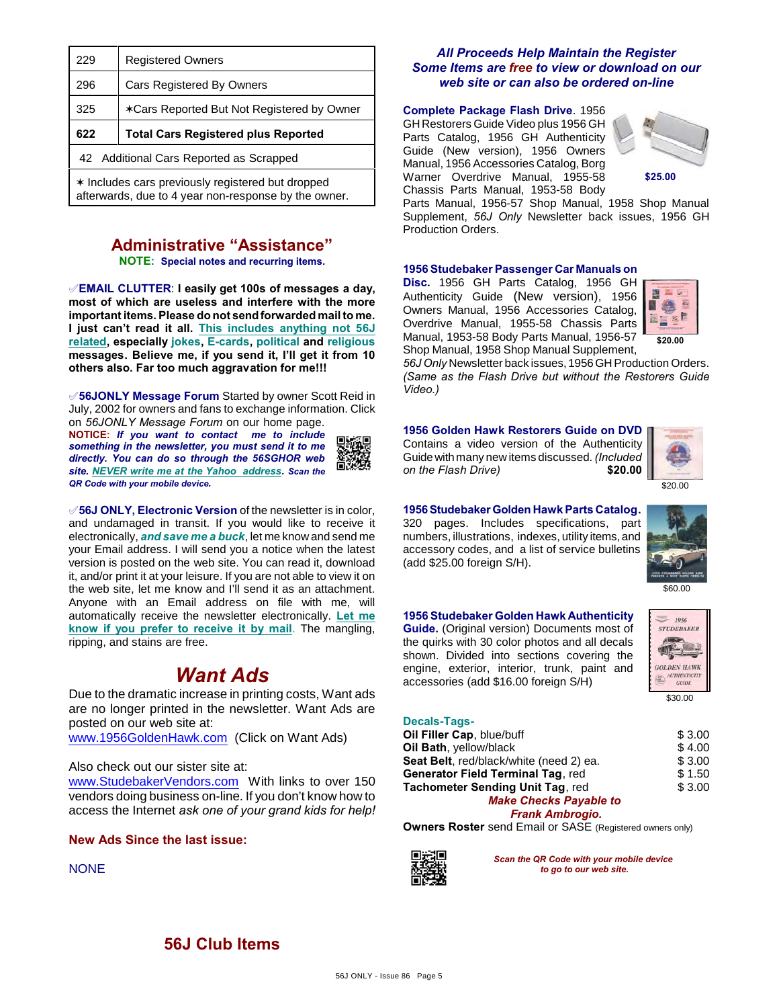| 229 | <b>Registered Owners</b>                   |  |  |
|-----|--------------------------------------------|--|--|
| 296 | <b>Cars Registered By Owners</b>           |  |  |
| 325 | *Cars Reported But Not Registered by Owner |  |  |
|     | <b>Total Cars Registered plus Reported</b> |  |  |
| 622 |                                            |  |  |
|     | 42 Additional Cars Reported as Scrapped    |  |  |

# **Administrative "Assistance"**

**NOTE: Special notes and recurring items.**

°**EMAIL CLUTTER**: **I easily get 100s of messages a day, most of which are useless and interfere with the more important items. Please do not send forwarded mail to me. I just can't read it all. This includes anything not 56J related, especially jokes, E-cards, political and religious messages. Believe me, if you send it, I'll get it from 10 others also. Far too much aggravation for me!!!**

°**56JONLY Message Forum** Started by owner Scott Reid in July, 2002 for owners and fans to exchange information. Click on *56JONLY Message Forum* on our home page.

**NOTICE:** *If you want to contact me to include something in the newsletter, you must send it to me directly. You can do so through the 56SGHOR web site. NEVER write me at the Yahoo address. Scan the QR Code with your mobile device.* 



°**56J ONLY, Electronic Version** of the newsletter is in color, and undamaged in transit. If you would like to receive it electronically, *and save me a buck*, let me know and send me your Email address. I will send you a notice when the latest version is posted on the web site. You can read it, download it, and/or print it at your leisure. If you are not able to view it on the web site, let me know and I'll send it as an attachment. Anyone with an Email address on file with me, will automatically receive the newsletter electronically. **Let me know if you prefer to receive it by mail**. The mangling, ripping, and stains are free.

# *Want Ads*

Due to the dramatic increase in printing costs, Want ads are no longer printed in the newsletter. Want Ads are posted on our web site at:

[www.1956GoldenHawk.com](http://www.1956GoldenHawk.com) (Click on Want Ads)

#### Also check out our sister site at:

[www.StudebakerVendors.com](http://www.StudebakerVendors.com) With links to over 150 vendors doing business on-line. If you don't know how to access the Internet *ask one of your grand kids for help!*

#### **New Ads Since the last issue:**

**NONE** 

#### *All Proceeds Help Maintain the Register Some Items are free to view or download on our web site or can also be ordered on-line*

#### **Complete Package Flash Drive**. 1956

GH Restorers Guide Video plus 1956 GH Parts Catalog, 1956 GH Authenticity Guide (New version), 1956 Owners Manual, 1956 Accessories Catalog, Borg Warner Overdrive Manual, 1955-58 Chassis Parts Manual, 1953-58 Body



Parts Manual, 1956-57 Shop Manual, 1958 Shop Manual Supplement, *56J Only* Newsletter back issues, 1956 GH Production Orders.

#### **1956 Studebaker Passenger Car Manuals on**

**Disc.** 1956 GH Parts Catalog, 1956 GH Authenticity Guide (New version), 1956 Owners Manual, 1956 Accessories Catalog, Overdrive Manual, 1955-58 Chassis Parts Manual, 1953-58 Body Parts Manual, 1956-57 Shop Manual, 1958 Shop Manual Supplement,



*56J Only* Newsletter back issues, 1956 GH Production Orders. *(Same as the Flash Drive but without the Restorers Guide Video.)*

**1956 Golden Hawk Restorers Guide on DVD** Contains a video version of the Authenticity Guide with many new items discussed. *(Included on the Flash Drive)* **\$20.00**



**1956 Studebaker Golden Hawk Parts Catalog.** 320 pages. Includes specifications, part numbers, illustrations, indexes, utility items, and accessory codes, and a list of service bulletins (add \$25.00 foreign S/H).



\$60.00

#### **1956 Studebaker Golden Hawk Authenticity**

**Guide.** (Original version) Documents most of the quirks with 30 color photos and all decals shown. Divided into sections covering the engine, exterior, interior, trunk, paint and accessories (add \$16.00 foreign S/H)



## **Decals-Tags-**

| Oil Filler Cap, blue/buff               | \$3.00 |
|-----------------------------------------|--------|
| Oil Bath, yellow/black                  | \$4.00 |
| Seat Belt, red/black/white (need 2) ea. | \$3.00 |
| Generator Field Terminal Tag, red       | \$1.50 |
| Tachometer Sending Unit Tag, red        | \$3.00 |
| <b>Make Checks Payable to</b>           |        |
|                                         |        |

*Frank Ambrogio.*

**Owners Roster** send Email or SASE (Registered owners only)



*Scan the QR Code with your mobile device to go to our web site.*

# **56J Club Items**